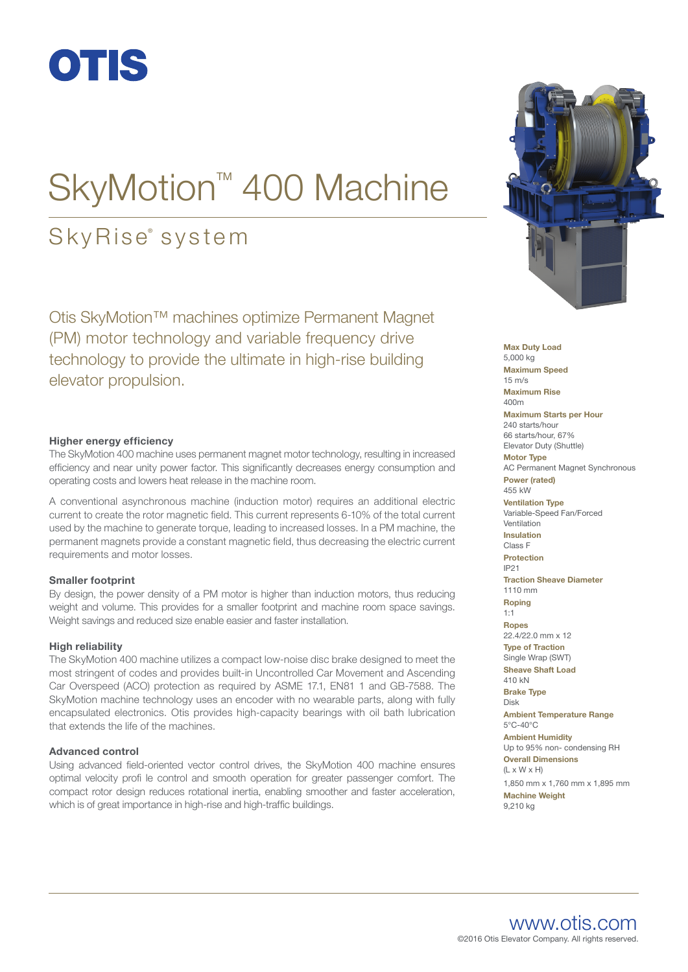

# SkyMotion<sup>™</sup> 400 Machine

### SkyRise<sup>®</sup> system

Otis SkyMotion™ machines optimize Permanent Magnet (PM) motor technology and variable frequency drive technology to provide the ultimate in high-rise building elevator propulsion.

### **Higher energy efficiency**

The SkyMotion 400 machine uses permanent magnet motor technology, resulting in increased efficiency and near unity power factor. This significantly decreases energy consumption and operating costs and lowers heat release in the machine room.

A conventional asynchronous machine (induction motor) requires an additional electric current to create the rotor magnetic field. This current represents 6-10% of the total current used by the machine to generate torque, leading to increased losses. In a PM machine, the permanent magnets provide a constant magnetic field, thus decreasing the electric current requirements and motor losses.

#### **Smaller footprint**

By design, the power density of a PM motor is higher than induction motors, thus reducing weight and volume. This provides for a smaller footprint and machine room space savings. Weight savings and reduced size enable easier and faster installation.

#### **High reliability**

The SkyMotion 400 machine utilizes a compact low-noise disc brake designed to meet the most stringent of codes and provides built-in Uncontrolled Car Movement and Ascending Car Overspeed (ACO) protection as required by ASME 17.1, EN81 1 and GB-7588. The SkyMotion machine technology uses an encoder with no wearable parts, along with fully encapsulated electronics. Otis provides high-capacity bearings with oil bath lubrication that extends the life of the machines.

#### **Advanced control**

Using advanced field-oriented vector control drives, the SkyMotion 400 machine ensures optimal velocity profi le control and smooth operation for greater passenger comfort. The compact rotor design reduces rotational inertia, enabling smoother and faster acceleration, which is of great importance in high-rise and high-traffic buildings.



**Max Duty Load** 5,000 kg **Maximum Speed** 15 m/s **Maximum Rise** 400m **Maximum Starts per Hour** 240 starts/hour 66 starts/hour, 67% Elevator Duty (Shuttle) **Motor Type** AC Permanent Magnet Synchronous **Power (rated)** 455 kW **Ventilation Type** Variable-Speed Fan/Forced Ventilation **Insulation** Class F **Protection** IP21 **Traction Sheave Diameter** 1110 mm **Roping** 1:1 **Ropes** 22.4/22.0 mm x 12 **Type of Traction** Single Wrap (SWT) **Sheave Shaft Load** 410 kN **Brake Type** Disk **Ambient Temperature Range** 5°C-40°C **Ambient Humidity** Up to 95% non- condensing RH **Overall Dimensions**  $(L \times W \times H)$ 1,850 mm x 1,760 mm x 1,895 mm **Machine Weight** 9,210 kg